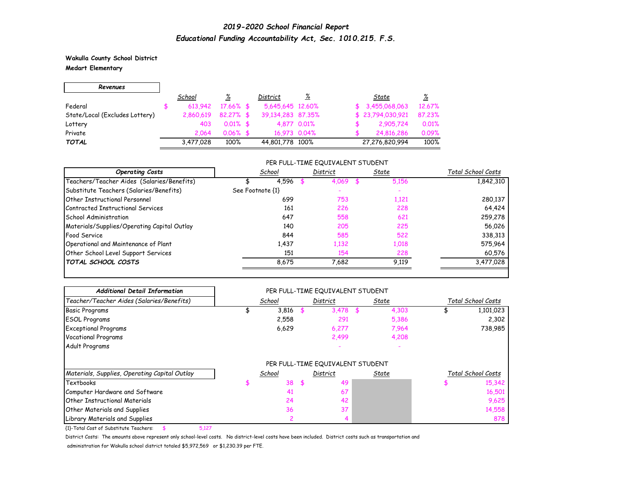**Wakulla County School District Medart Elementary**

| Revenues                       |           |              |                   |             |                  |          |
|--------------------------------|-----------|--------------|-------------------|-------------|------------------|----------|
|                                | School    | ℅            | District          | <u>%</u>    | State            | <u>%</u> |
| Federal                        | 613.942   | $17.66\%$ \$ | 5,645,645 12.60%  |             | \$3,455,068,063  | 12.67%   |
| State/Local (Excludes Lottery) | 2,860,619 | $82.27%$ \$  | 39,134,283 87,35% |             | \$23,794,030,921 | 87.23%   |
| Lottery                        | 403       | $0.01\%$ \$  |                   | 4.877 0.01% | 2,905,724        | 0.01%    |
| Private                        | 2.064     | $0.06\%$ \$  | 16,973 0.04%      |             | 24,816,286       | 0.09%    |
| <b>TOTAL</b>                   | 3,477,028 | 100%         | 44,801,778 100%   |             | 27,276,820,994   | 100%     |

#### PER FULL-TIME EQUIVALENT STUDENT

| School           | District | State | Total School Costs |
|------------------|----------|-------|--------------------|
| 4,596            | 4,069    | 5,156 | 1,842,310          |
| See Footnote {1} |          |       |                    |
| 699              | 753      | 1,121 | 280,137            |
| 161              | 226      | 228   | 64,424             |
| 647              | 558      | 621   | 259,278            |
| 140              | 205      | 225   | 56,026             |
| 844              | 585      | 522   | 338,313            |
| 1.437            | 1,132    | 1,018 | 575.964            |
| 151              | 154      | 228   | 60,576             |
| 8.675            | 7,682    | 9.119 | 3,477,028          |
|                  |          |       |                    |

| <b>Additional Detail Information</b>            | PER FULL-TIME EQUIVALENT STUDENT |          |                                  |       |       |                    |                    |
|-------------------------------------------------|----------------------------------|----------|----------------------------------|-------|-------|--------------------|--------------------|
| Teacher/Teacher Aides (Salaries/Benefits)       | School                           | District |                                  | State |       | Total School Costs |                    |
| <b>Basic Programs</b>                           | 3,816                            |          | 3,478                            |       | 4,303 |                    | 1,101,023          |
| <b>ESOL Programs</b>                            | 2,558                            |          | 291                              |       | 5,386 |                    | 2,302              |
| <b>Exceptional Programs</b>                     | 6,629                            |          | 6,277                            |       | 7,964 |                    | 738,985            |
| <b>Vocational Programs</b>                      |                                  |          | 2,499                            |       | 4,208 |                    |                    |
| Adult Programs                                  |                                  |          |                                  |       |       |                    |                    |
|                                                 |                                  |          | PER FULL-TIME EQUIVALENT STUDENT |       |       |                    |                    |
| Materials, Supplies, Operating Capital Outlay   | School                           |          | District                         |       | State |                    | Total School Costs |
| <b>Textbooks</b>                                | 38                               | \$       | 49                               |       |       |                    | 15,342             |
| Computer Hardware and Software                  | 41                               |          | 67                               |       |       |                    | 16,501             |
| <b>Other Instructional Materials</b>            | 24                               |          | 42                               |       |       |                    | 9,625              |
| Other Materials and Supplies                    | 36                               |          | 37                               |       |       |                    | 14,558             |
| Library Materials and Supplies                  | 2                                |          | 4                                |       |       |                    | 878                |
| {1}-Total Cost of Substitute Teachers:<br>5,127 |                                  |          |                                  |       |       |                    |                    |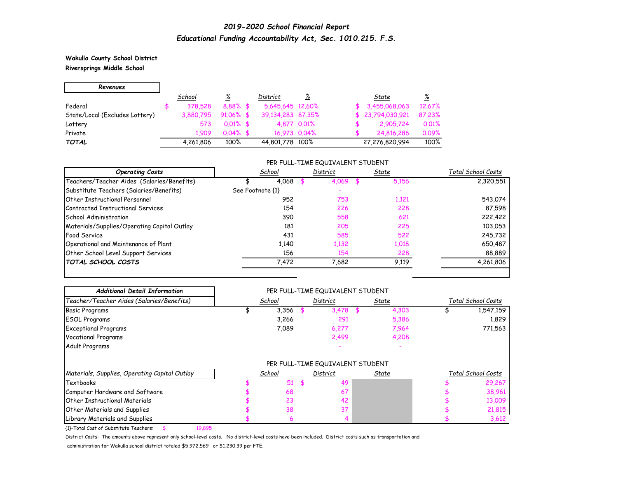**Wakulla County School District Riversprings Middle School**

┑

| Revenues                       |           |              |                   |             |                  |          |
|--------------------------------|-----------|--------------|-------------------|-------------|------------------|----------|
|                                | School    | <u>%</u>     | District          | <u>%</u>    | State            | <u>%</u> |
| Federal                        | 378,528   | $8.88%$ \$   | 5.645.645 12.60%  |             | \$3,455,068,063  | 12.67%   |
| State/Local (Excludes Lottery) | 3.880.795 | $91.06\%$ \$ | 39,134,283 87,35% |             | \$23,794,030,921 | 87.23%   |
| Lottery                        | 573       | $0.01\%$ \$  |                   | 4.877 0.01% | 2,905,724        | 0.01%    |
| Private                        | 1.909     | $0.04\%$ \$  | 16,973 0.04%      |             | 24,816,286       | 0.09%    |
| <b>TOTAL</b>                   | 4,261,806 | 100%         | 44,801,778 100%   |             | 27,276,820,994   | 100%     |

#### PER FULL-TIME EQUIVALENT STUDENT

| <b>Operating Costs</b>                      | School           | District | State | Total School Costs |
|---------------------------------------------|------------------|----------|-------|--------------------|
| Teachers/Teacher Aides (Salaries/Benefits)  | 4,068            | 4.069    | 5,156 | 2,320,551          |
| Substitute Teachers (Salaries/Benefits)     | See Footnote {1} |          |       |                    |
| <b>Other Instructional Personnel</b>        | 952              | 753      | 1,121 | 543,074            |
| Contracted Instructional Services           | 154              | 226      | 228   | 87,598             |
| School Administration                       | 390              | 558      | 621   | 222,422            |
| Materials/Supplies/Operating Capital Outlay | 181              | 205      | 225   | 103,053            |
| Food Service                                | 431              | 585      | 522   | 245,732            |
| Operational and Maintenance of Plant        | 1.140            | 1,132    | 1,018 | 650,487            |
| Other School Level Support Services         | 156              | 154      | 228   | 88,889             |
| <b>TOTAL SCHOOL COSTS</b>                   | 7,472            | 7,682    | 9.119 | 4,261,806          |

| <b>Additional Detail Information</b>             |        |     | PER FULL-TIME EQUIVALENT STUDENT |       |              |                    |                    |
|--------------------------------------------------|--------|-----|----------------------------------|-------|--------------|--------------------|--------------------|
| Teacher/Teacher Aides (Salaries/Benefits)        | School |     | District                         | State |              | Total School Costs |                    |
| <b>Basic Programs</b>                            | 3,356  |     | 3.478                            |       | 4,303        |                    | 1,547,159          |
| <b>ESOL Programs</b>                             | 3,266  |     | 291                              |       | 5,386        |                    | 1,829              |
| <b>Exceptional Programs</b>                      | 7,089  |     | 6,277                            |       | 7,964        |                    | 771,563            |
| <b>Vocational Programs</b>                       |        |     | 2,499                            |       | 4,208        |                    |                    |
| Adult Programs                                   |        |     |                                  |       |              |                    |                    |
|                                                  |        |     | PER FULL-TIME EQUIVALENT STUDENT |       |              |                    |                    |
| Materials, Supplies, Operating Capital Outlay    | School |     | District                         |       | <u>State</u> |                    | Total School Costs |
| <b>Textbooks</b>                                 | 51     | \$. | 49                               |       |              |                    | 29,267             |
| Computer Hardware and Software                   | 68     |     | 67                               |       |              |                    | 38,961             |
| <b>Other Instructional Materials</b>             | 23     |     | 42                               |       |              |                    | 13,009             |
| <b>Other Materials and Supplies</b>              | 38     |     | 37                               |       |              |                    | 21,815             |
| Library Materials and Supplies                   | 6      |     |                                  |       |              |                    | 3,612              |
| {1}-Total Cost of Substitute Teachers:<br>19,895 |        |     |                                  |       |              |                    |                    |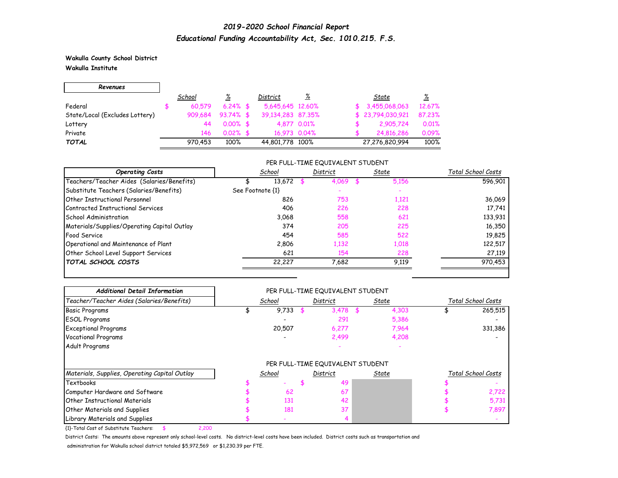**Wakulla County School District Wakulla Institute**

| Revenues                       |         |             |                   |             |                  |          |
|--------------------------------|---------|-------------|-------------------|-------------|------------------|----------|
|                                | School  | <u>%</u>    | District          | <u>%</u>    | State            | <u>%</u> |
| Federal                        | 60.579  | $6.24\%$ \$ | 5,645,645 12.60%  |             | \$3,455,068,063  | 12.67%   |
| State/Local (Excludes Lottery) | 909,684 | $93.74%$ \$ | 39.134.283 87.35% |             | \$23,794,030,921 | 87.23%   |
| Lottery                        | 44      | $0.00\%$ \$ |                   | 4.877 0.01% | 2,905,724        | 0.01%    |
| Private                        | 146     | $0.02\%$ \$ | 16,973 0.04%      |             | 24,816,286       | 0.09%    |
| <b>TOTAL</b>                   | 970.453 | 100%        | 44,801,778 100%   |             | 27,276,820,994   | 100%     |

#### PER FULL-TIME EQUIVALENT STUDENT

| <b>Operating Costs</b>                      | School           | District | State | Total School Costs |
|---------------------------------------------|------------------|----------|-------|--------------------|
| Teachers/Teacher Aides (Salaries/Benefits)  | 13,672           | 4.069    | 5.156 | 596,901            |
| Substitute Teachers (Salaries/Benefits)     | See Footnote {1} |          |       |                    |
| <b>Other Instructional Personnel</b>        | 826              | 753      | 1,121 | 36,069             |
| Contracted Instructional Services           | 406              | 226      | 228   | 17,741             |
| School Administration                       | 3.068            | 558      | 621   | 133,931            |
| Materials/Supplies/Operating Capital Outlay | 374              | 205      | 225   | 16,350             |
| Food Service                                | 454              | 585      | 522   | 19,825             |
| Operational and Maintenance of Plant        | 2,806            | 1,132    | 1,018 | 122,517            |
| Other School Level Support Services         | 621              | 154      | 228   | 27,119             |
| <b>TOTAL SCHOOL COSTS</b>                   | 22,227           | 7.682    | 9.119 | 970,453            |

| <b>Additional Detail Information</b>            |        |          | PER FULL-TIME EQUIVALENT STUDENT |              |       |                    |                    |
|-------------------------------------------------|--------|----------|----------------------------------|--------------|-------|--------------------|--------------------|
| Teacher/Teacher Aides (Salaries/Benefits)       | School | District |                                  | State        |       | Total School Costs |                    |
| <b>Basic Programs</b>                           | 9,733  |          | 3,478                            |              | 4,303 |                    | 265,515            |
| <b>ESOL Programs</b>                            |        |          | 291                              |              | 5,386 |                    |                    |
| <b>Exceptional Programs</b>                     | 20,507 |          | 6,277                            |              | 7,964 |                    | 331,386            |
| <b>Vocational Programs</b>                      |        |          | 2,499                            |              | 4,208 |                    |                    |
| Adult Programs                                  |        |          |                                  |              |       |                    |                    |
|                                                 |        |          | PER FULL-TIME EQUIVALENT STUDENT |              |       |                    |                    |
| Materials, Supplies, Operating Capital Outlay   | School |          | District                         | <u>State</u> |       |                    | Total School Costs |
| <b>Textbooks</b>                                |        |          | 49                               |              |       |                    |                    |
| Computer Hardware and Software                  | 62     |          | 67                               |              |       |                    | 2,722              |
| <b>Other Instructional Materials</b>            | 131    |          | 42                               |              |       |                    | 5,731              |
| <b>Other Materials and Supplies</b>             | 181    |          | 37                               |              |       |                    | 7,897              |
| Library Materials and Supplies                  |        |          |                                  |              |       |                    |                    |
| {1}-Total Cost of Substitute Teachers:<br>2,200 |        |          |                                  |              |       |                    |                    |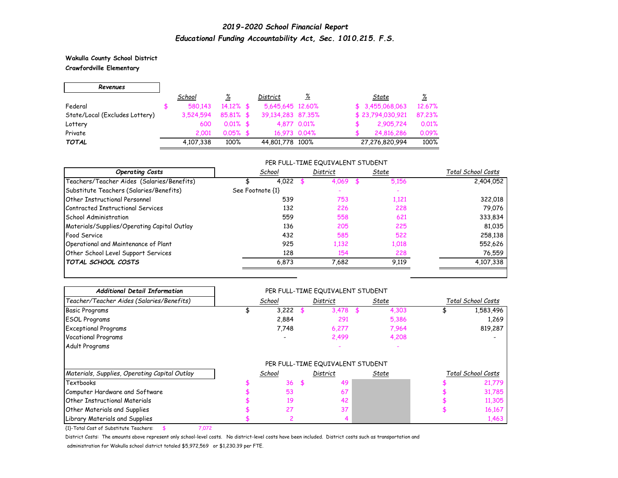**Wakulla County School District Crawfordville Elementary**

| Revenues                       |           |              |                   |              |                            |
|--------------------------------|-----------|--------------|-------------------|--------------|----------------------------|
|                                | School    | <u>%</u>     | District          | <u>%</u>     | ℅<br>State                 |
| Federal                        | 580.143   | $14.12\%$ \$ | 5,645,645 12,60%  |              | \$3,455,068,063<br>12.67%  |
| State/Local (Excludes Lottery) | 3,524,594 | 85.81% \$    | 39,134,283 87,35% |              | \$23,794,030,921<br>87.23% |
| Lottery                        | 600       | $0.01\%$ \$  |                   | 4.877 0.01%  | 0.01%<br>2,905,724         |
| Private                        | 2.001     | $0.05%$ \$   |                   | 16,973 0.04% | 0.09%<br>24,816,286        |
| <b>TOTAL</b>                   | 4,107,338 | 100%         | 44,801,778 100%   |              | 100%<br>27,276,820,994     |

#### PER FULL-TIME EQUIVALENT STUDENT

| <b>Operating Costs</b>                      | School           | District | State | Total School Costs |
|---------------------------------------------|------------------|----------|-------|--------------------|
| Teachers/Teacher Aides (Salaries/Benefits)  | 4,022            | 4,069    | 5.156 | 2,404,052          |
| Substitute Teachers (Salaries/Benefits)     | See Footnote {1} |          |       |                    |
| <b>Other Instructional Personnel</b>        | 539              | 753      | 1,121 | 322,018            |
| Contracted Instructional Services           | 132              | 226      | 228   | 79,076             |
| School Administration                       | 559              | 558      | 621   | 333,834            |
| Materials/Supplies/Operating Capital Outlay | 136              | 205      | 225   | 81,035             |
| Food Service                                | 432              | 585      | 522   | 258,138            |
| Operational and Maintenance of Plant        | 925              | 1,132    | 1,018 | 552,626            |
| Other School Level Support Services         | 128              | 154      | 228   | 76,559             |
| <b>TOTAL SCHOOL COSTS</b>                   | 6.873            | 7,682    | 9.119 | 4,107,338          |
|                                             |                  |          |       |                    |

| <b>Additional Detail Information</b>            |        | PER FULL-TIME EQUIVALENT STUDENT |       |              |                    |                    |
|-------------------------------------------------|--------|----------------------------------|-------|--------------|--------------------|--------------------|
| Teacher/Teacher Aides (Salaries/Benefits)       | School | District                         | State |              | Total School Costs |                    |
| <b>Basic Programs</b>                           | 3,222  | 3.478                            |       | 4,303        |                    | 1,583,496          |
| <b>ESOL Programs</b>                            | 2,884  | 291                              |       | 5,386        |                    | 1,269              |
| <b>Exceptional Programs</b>                     | 7,748  | 6,277                            |       | 7,964        |                    | 819,287            |
| <b>Vocational Programs</b>                      |        | 2,499                            |       | 4,208        |                    |                    |
| Adult Programs                                  |        |                                  |       |              |                    |                    |
|                                                 |        | PER FULL-TIME EQUIVALENT STUDENT |       |              |                    |                    |
| Materials, Supplies, Operating Capital Outlay   | School | District                         |       | <u>State</u> |                    | Total School Costs |
| <b>Textbooks</b>                                | 36     | 49                               |       |              |                    | 21,779             |
| Computer Hardware and Software                  | 53     | 67                               |       |              |                    | 31,785             |
| <b>Other Instructional Materials</b>            | 19     | 42                               |       |              |                    | 11,305             |
| <b>Other Materials and Supplies</b>             | 27     | 37                               |       |              |                    | 16,167             |
| Library Materials and Supplies                  |        |                                  |       |              |                    | 1,463              |
| {1}-Total Cost of Substitute Teachers:<br>7,072 |        |                                  |       |              |                    |                    |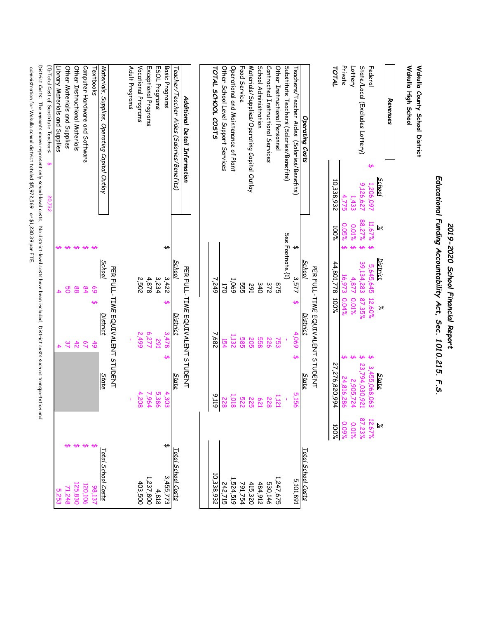|                                                                                                                                                                                                                                                 |                                         |                               |                                                                             | Educational Funding Accountability Act, Sec. 1010.215. F.S. |                                          |                               |                      |
|-------------------------------------------------------------------------------------------------------------------------------------------------------------------------------------------------------------------------------------------------|-----------------------------------------|-------------------------------|-----------------------------------------------------------------------------|-------------------------------------------------------------|------------------------------------------|-------------------------------|----------------------|
| Wakulla High School<br>Wakulla County School District                                                                                                                                                                                           |                                         |                               |                                                                             |                                                             |                                          |                               |                      |
| Revenues                                                                                                                                                                                                                                        |                                         |                               |                                                                             |                                                             |                                          |                               |                      |
| State/Local (Excludes Lottery)<br>Federal<br>↮                                                                                                                                                                                                  | <b>School</b><br>9,126,627<br>1,206,097 | 88.27%<br>11.67%<br>$\approx$ | <b>District</b><br>39,134,283<br>5,645,645<br>87.35%<br>12.60%<br>$\approx$ |                                                             | 23,794,030,921<br>3,455,068,063<br>State | 87.23%<br>12.67%<br>$\approx$ |                      |
| Private<br>Lottery                                                                                                                                                                                                                              | 1,433<br>775<br>S                       | 0.05%<br>0.01%<br>↮           | $\overline{5}$<br>4,877<br>673<br>0.01%<br>0.04%                            |                                                             | 2,905,724<br>$-816$<br>982               | 0.09%<br>0.01%                |                      |
| TOTAL                                                                                                                                                                                                                                           | 10,338,932                              | 100%                          | 44,801,778<br>100%                                                          |                                                             | 27,276,820,994                           | %00I                          |                      |
|                                                                                                                                                                                                                                                 |                                         |                               |                                                                             | PER FULL-TIME EQUIVALENT STUDENT                            |                                          |                               |                      |
| Operating Costs                                                                                                                                                                                                                                 |                                         |                               | School                                                                      | District                                                    | <b>State</b>                             | Total School Costs            |                      |
| Teachers/Teacher Aides<br>(Salaries/Benefits)                                                                                                                                                                                                   |                                         | ↔                             | 3,57<br>ఱ                                                                   | 4,069<br>ఱ                                                  | 5,156                                    |                               | 168'101'9            |
| Substitute Teachers (Salaries/Benefits)<br>Other Instructional Personnel                                                                                                                                                                        |                                         | See Footnote (1)              | 875                                                                         | 753                                                         | 1,121                                    |                               | 1,247,675            |
| Contracted Instructional Services                                                                                                                                                                                                               |                                         |                               | 372                                                                         | 922                                                         | 822                                      |                               | 530,146              |
| School Administration                                                                                                                                                                                                                           |                                         |                               | 340                                                                         | 828                                                         | <b>621</b>                               |                               | 484,912              |
| Materials/Supplies/Operating Capital Outlay                                                                                                                                                                                                     |                                         |                               | 162                                                                         | 505                                                         | <b>225</b>                               |                               | 415,320              |
| Food Service                                                                                                                                                                                                                                    |                                         |                               | 555                                                                         | <b>585</b>                                                  | 225                                      |                               | 791,754              |
| Other School Level Support Services<br>Operational and Maintenance of Plant                                                                                                                                                                     |                                         |                               | 1,069<br>52                                                                 | 1,132<br>154                                                | 1,018<br>228                             |                               | 524,519<br>242,715   |
| TOTAL SCHOOL COSTS                                                                                                                                                                                                                              |                                         |                               | 249                                                                         | 589                                                         | 9.119                                    |                               | 10,338,932           |
|                                                                                                                                                                                                                                                 |                                         |                               |                                                                             |                                                             |                                          |                               |                      |
| Additional Detail Information                                                                                                                                                                                                                   |                                         |                               |                                                                             | PER FULL-TIME EQUIVALENT STUDENT                            |                                          |                               |                      |
| Teacher/Teacher Aides (Salaries/Benefits)                                                                                                                                                                                                       |                                         |                               | School                                                                      | <u>District</u>                                             | State                                    | Total School Costs            |                      |
| Basic Programs                                                                                                                                                                                                                                  |                                         | ↮                             | 3,422<br>↫                                                                  | 37.478<br>ఱ                                                 | 4,303                                    | ↮                             | 3,455,773            |
| ESOL Programs                                                                                                                                                                                                                                   |                                         |                               | 3,234                                                                       | 162                                                         | 5,386                                    |                               | 4,818                |
| Vocational Programs<br>Exceptional Programs                                                                                                                                                                                                     |                                         |                               | 2092<br>4,878                                                               | 6,277<br><b>66t'Z</b>                                       | 4,208<br>7964                            |                               | 1,237,800<br>403,500 |
| Adult Programs                                                                                                                                                                                                                                  |                                         |                               |                                                                             |                                                             |                                          |                               |                      |
|                                                                                                                                                                                                                                                 |                                         |                               |                                                                             | PER FULL-TIME EQUIVALENT STUDENT                            |                                          |                               |                      |
| Materials, Supplies, Operating Capital Outlay                                                                                                                                                                                                   |                                         |                               | School                                                                      | District                                                    | State                                    | Total School Costs            |                      |
| Fextbooks                                                                                                                                                                                                                                       |                                         | $\overline{a}$                | <b>S</b>                                                                    | $\frac{4}{9}$                                               |                                          |                               | 137                  |
| Computer Hardware and Software                                                                                                                                                                                                                  |                                         | $\overline{\mathbf{t}}$       | $\overline{8}$                                                              | $\overline{\mathcal{L}}$                                    |                                          |                               | 120,106              |
| Other Instructional Materials                                                                                                                                                                                                                   |                                         | ↮                             | 88                                                                          | $\ddot{4}$                                                  |                                          |                               | 125,830              |
| Other Materials and Supplies                                                                                                                                                                                                                    |                                         | ↮                             | မွ                                                                          | 37                                                          |                                          |                               | 71,248               |
| Library Materials and Supplies                                                                                                                                                                                                                  |                                         |                               |                                                                             | 4                                                           |                                          |                               | 5,253                |
| {1}-Total Cost of Substitute Teachers:                                                                                                                                                                                                          |                                         |                               |                                                                             |                                                             |                                          |                               |                      |
| District Costs: The amounts above represent only school-level costs. No district-level costs have been included. District costs such as transportation<br>administration for Wdkulla school district totaled \$5,972,569 or \$1,230.39 per FTE. |                                         |                               |                                                                             |                                                             |                                          | n and                         |                      |

*2019-2020 School Financial Report*

2019-2020 School Financial Report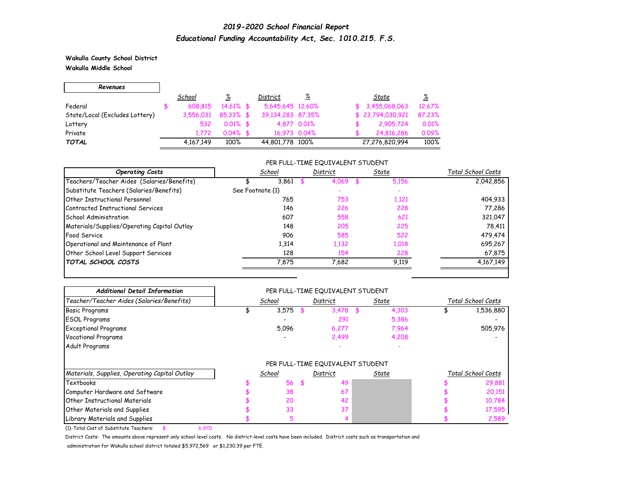**Wakulla County School District Wakulla Middle School**

| Revenues                       |           |              |                   |             |                  |          |
|--------------------------------|-----------|--------------|-------------------|-------------|------------------|----------|
|                                | School    | ℅            | District          | <u>%</u>    | State            | <u>%</u> |
| Federal                        | 608.815   | $14.61\%$ \$ | 5.645.645 12.60%  |             | \$3,455,068,063  | 12.67%   |
| State/Local (Excludes Lottery) | 3,556,031 | $85.33\%$ \$ | 39,134,283 87,35% |             | \$23,794,030,921 | 87.23%   |
| Lottery                        | 532       | $0.01\%$ \$  |                   | 4.877 0.01% | 2,905,724        | 0.01%    |
| Private                        | 1.772     | $0.04\%$ \$  | 16,973 0.04%      |             | 24,816,286       | 0.09%    |
| <b>TOTAL</b>                   | 4,167,149 | 100%         | 44,801,778 100%   |             | 27,276,820,994   | 100%     |

### PER FULL-TIME EQUIVALENT STUDENT

| <b>Operating Costs</b>                      | School           | District | State | Total School Costs |
|---------------------------------------------|------------------|----------|-------|--------------------|
| Teachers/Teacher Aides (Salaries/Benefits)  | 3,861            | 4,069    | 5,156 | 2,042,856          |
| Substitute Teachers (Salaries/Benefits)     | See Footnote {1} |          |       |                    |
| <b>Other Instructional Personnel</b>        | 765              | 753      | 1,121 | 404,933            |
| Contracted Instructional Services           | 146              | 226      | 228   | 77,286             |
| School Administration                       | 607              | 558      | 621   | 321,047            |
| Materials/Supplies/Operating Capital Outlay | 148              | 205      | 225   | 78,411             |
| Food Service                                | 906              | 585      | 522   | 479,474            |
| Operational and Maintenance of Plant        | 1,314            | 1,132    | 1,018 | 695,267            |
| Other School Level Support Services         | 128              | 154      | 228   | 67,875             |
| <b>TOTAL SCHOOL COSTS</b>                   | 7.875            | 7,682    | 9.119 | 4,167,149          |

| <b>Additional Detail Information</b>          |        | PER FULL-TIME EQUIVALENT STUDENT |       |                    |
|-----------------------------------------------|--------|----------------------------------|-------|--------------------|
| Teacher/Teacher Aides (Salaries/Benefits)     | School | District                         | State | Total School Costs |
| <b>Basic Programs</b>                         | 3,575  | 3,478                            | 4,303 | 1,536,880          |
| <b>ESOL Programs</b>                          |        | 291                              | 5,386 |                    |
| <b>Exceptional Programs</b>                   | 5,096  | 6,277                            | 7,964 | 505,976            |
| <b>Vocational Programs</b>                    |        | 2,499                            | 4,208 |                    |
| Adult Programs                                |        |                                  |       |                    |
|                                               |        | PER FULL-TIME EQUIVALENT STUDENT |       |                    |
| Materials, Supplies, Operating Capital Outlay | School | District                         | State | Total School Costs |
| <b>Textbooks</b>                              | 56     | 49                               |       | 29,881             |
| Computer Hardware and Software                | 38     | 67                               |       | 20,151             |
| <b>Other Instructional Materials</b>          | 20     | 42                               |       | 10,784             |
| Other Materials and Supplies                  | 33     | 37                               |       | 17,595             |
| Library Materials and Supplies                |        |                                  |       | 2,589              |

{1}-Total Cost of Substitute Teachers: \$ 6,970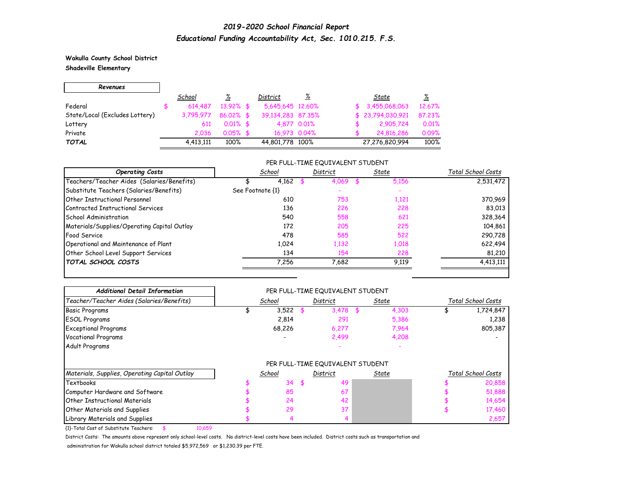**Wakulla County School District Shadeville Elementary**

| Revenues                       |           |              |                   |             |                  |          |
|--------------------------------|-----------|--------------|-------------------|-------------|------------------|----------|
|                                | School    | <u>%</u>     | District          | <u>%</u>    | State            | <u>%</u> |
| Federal                        | 614,487   | $13.92\%$ \$ | 5,645,645 12.60%  |             | \$3,455,068,063  | 12.67%   |
| State/Local (Excludes Lottery) | 3.795.977 | $86.02\%$ \$ | 39.134.283 87.35% |             | \$23,794,030,921 | 87.23%   |
| Lottery                        | 611       | $0.01\%$ \$  |                   | 4,877 0,01% | 2,905,724        | 0.01%    |
| Private                        | 2.036     | $0.05%$ \$   | 16,973 0.04%      |             | 24,816,286       | 0.09%    |
| <b>TOTAL</b>                   | 4,413,111 | 100%         | 44,801,778 100%   |             | 27,276,820,994   | 100%     |

### PER FULL-TIME EQUIVALENT STUDENT

| <b>Operating Costs</b>                      | School           | District | State | Total School Costs |
|---------------------------------------------|------------------|----------|-------|--------------------|
| Teachers/Teacher Aides (Salaries/Benefits)  | 4,162            | 4.069    | 5.156 | 2,531,472          |
| Substitute Teachers (Salaries/Benefits)     | See Footnote {1} |          |       |                    |
| <b>Other Instructional Personnel</b>        | 610              | 753      | 1,121 | 370,969            |
| Contracted Instructional Services           | 136              | 226      | 228   | 83,013             |
| School Administration                       | 540              | 558      | 621   | 328,364            |
| Materials/Supplies/Operating Capital Outlay | 172              | 205      | 225   | 104,861            |
| Food Service                                | 478              | 585      | 522   | 290,728            |
| Operational and Maintenance of Plant        | 1.024            | 1,132    | 1,018 | 622,494            |
| Other School Level Support Services         | 134              | 154      | 228   | 81,210             |
| <b>TOTAL SCHOOL COSTS</b>                   | 7,256            | 7,682    | 9,119 | 4,413,111          |

| <b>Additional Detail Information</b>             |        | PER FULL-TIME EQUIVALENT STUDENT |              |                    |
|--------------------------------------------------|--------|----------------------------------|--------------|--------------------|
| Teacher/Teacher Aides (Salaries/Benefits)        | School | District                         | State        | Total School Costs |
| <b>Basic Programs</b>                            | 3,522  | 3.478                            | 4,303        | 1,724,847          |
| <b>ESOL Programs</b>                             | 2,814  | 291                              | 5,386        | 1,238              |
| <b>Exceptional Programs</b>                      | 68,226 | 6,277                            | 7,964        | 805,387            |
| <b>Vocational Programs</b>                       |        | 2,499                            | 4,208        |                    |
| Adult Programs                                   |        |                                  |              |                    |
|                                                  |        | PER FULL-TIME EQUIVALENT STUDENT |              |                    |
| Materials, Supplies, Operating Capital Outlay    | School | District                         | <u>State</u> | Total School Costs |
| <b>Textbooks</b>                                 | 34     | \$<br>49                         |              | 20,858             |
| Computer Hardware and Software                   | 85     | 67                               |              | 51,888             |
| <b>Other Instructional Materials</b>             | 24     | 42                               |              | 14,654             |
| <b>Other Materials and Supplies</b>              | 29     | 37                               |              | 17,460             |
| Library Materials and Supplies                   |        |                                  |              | 2,657              |
| {1}-Total Cost of Substitute Teachers:<br>10,659 |        |                                  |              |                    |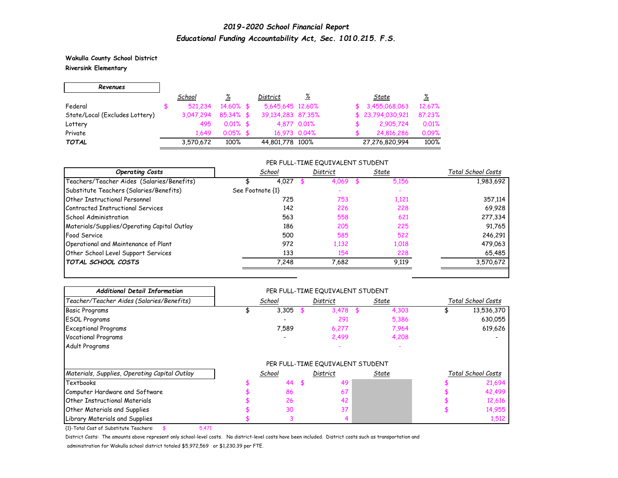**Wakulla County School District Riversink Elementary**

| Revenues                       |           |              |                   |             |                  |          |
|--------------------------------|-----------|--------------|-------------------|-------------|------------------|----------|
|                                | School    | <u>%</u>     | District          | <u>%</u>    | State            | <u>%</u> |
| Federal                        | 521.234   | 14.60% \$    | 5,645,645 12,60%  |             | \$3,455,068,063  | 12.67%   |
| State/Local (Excludes Lottery) | 3.047.294 | $85.34\%$ \$ | 39.134.283 87.35% |             | \$23,794,030,921 | 87.23%   |
| Lottery                        | 495       | $0.01\%$ \$  |                   | 4.877 0.01% | 2,905,724        | 0.01%    |
| Private                        | 1.649     | $0.05%$ \$   | 16,973 0.04%      |             | 24,816,286       | 0.09%    |
| <b>TOTAL</b>                   | 3,570,672 | 100%         | 44,801,778 100%   |             | 27,276,820,994   | 100%     |

#### PER FULL-TIME EQUIVALENT STUDENT

| <b>Operating Costs</b>                      | School           | District | State | Total School Costs |
|---------------------------------------------|------------------|----------|-------|--------------------|
| Teachers/Teacher Aides (Salaries/Benefits)  | 4,027            | 4,069    | 5,156 | 1,983,692          |
| Substitute Teachers (Salaries/Benefits)     | See Footnote {1} |          |       |                    |
| <b>Other Instructional Personnel</b>        | 725              | 753      | 1,121 | 357,114            |
| Contracted Instructional Services           | 142              | 226      | 228   | 69,928             |
| School Administration                       | 563              | 558      | 621   | 277,334            |
| Materials/Supplies/Operating Capital Outlay | 186              | 205      | 225   | 91,765             |
| Food Service                                | 500              | 585      | 522   | 246,291            |
| Operational and Maintenance of Plant        | 972              | 1,132    | 1,018 | 479,063            |
| Other School Level Support Services         | 133              | 154      | 228   | 65,485             |
| <b>TOTAL SCHOOL COSTS</b>                   | 7,248            | 7,682    | 9,119 | 3,570,672          |

| <b>Additional Detail Information</b>            |        | PER FULL-TIME EQUIVALENT STUDENT |       |                    |
|-------------------------------------------------|--------|----------------------------------|-------|--------------------|
| Teacher/Teacher Aides (Salaries/Benefits)       | School | District                         | State | Total School Costs |
| <b>Basic Programs</b>                           | 3,305  | 3.478                            | 4,303 | 13,536,370         |
| <b>ESOL Programs</b>                            |        | 291                              | 5,386 | 630,055            |
| <b>Exceptional Programs</b>                     | 7,589  | 6,277                            | 7,964 | 619,626            |
| <b>Vocational Programs</b>                      |        | 2,499                            | 4,208 |                    |
| Adult Programs                                  |        |                                  |       |                    |
|                                                 |        | PER FULL-TIME EQUIVALENT STUDENT |       |                    |
| Materials, Supplies, Operating Capital Outlay   | School | District                         | State | Total School Costs |
| <b>Textbooks</b>                                | 44     | 49                               |       | 21,694             |
| Computer Hardware and Software                  | 86     | 67                               |       | 42,499             |
| <b>Other Instructional Materials</b>            | 26     | 42                               |       | 12,616             |
| <b>Other Materials and Supplies</b>             | 30     | 37                               |       | 14,955             |
| Library Materials and Supplies                  |        |                                  |       | 1,512              |
| {1}-Total Cost of Substitute Teachers:<br>5,471 |        |                                  |       |                    |